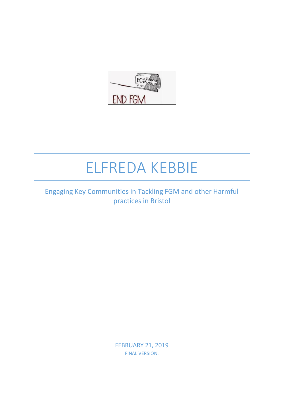

# ELFREDA KEBBIE

## Engaging Key Communities in Tackling FGM and other Harmful practices in Bristol

FEBRUARY 21, 2019 FINAL VERSION.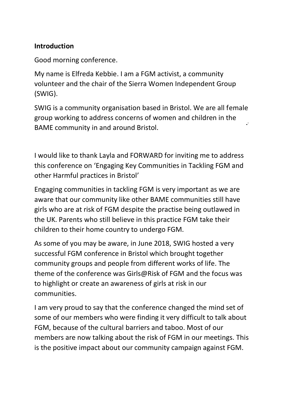#### **Introduction**

Good morning conference.

My name is Elfreda Kebbie. I am a FGM activist, a community volunteer and the chair of the Sierra Women Independent Group (SWIG).

SWIG is a community organisation based in Bristol. We are all female group working to address concerns of women and children in the BAME community in and around Bristol.

I would like to thank Layla and FORWARD for inviting me to address this conference on 'Engaging Key Communities in Tackling FGM and other Harmful practices in Bristol'

Engaging communities in tackling FGM is very important as we are aware that our community like other BAME communities still have girls who are at risk of FGM despite the practise being outlawed in the UK. Parents who still believe in this practice FGM take their children to their home country to undergo FGM.

As some of you may be aware, in June 2018, SWIG hosted a very successful FGM conference in Bristol which brought together community groups and people from different works of life. The theme of the conference was Girls@Risk of FGM and the focus was to highlight or create an awareness of girls at risk in our communities.

I am very proud to say that the conference changed the mind set of some of our members who were finding it very difficult to talk about FGM, because of the cultural barriers and taboo. Most of our members are now talking about the risk of FGM in our meetings. This is the positive impact about our community campaign against FGM.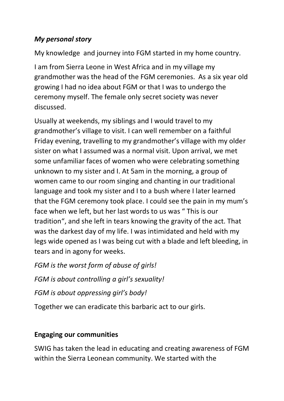## *My personal story*

My knowledge and journey into FGM started in my home country.

I am from Sierra Leone in West Africa and in my village my grandmother was the head of the FGM ceremonies. As a six year old growing I had no idea about FGM or that I was to undergo the ceremony myself. The female only secret society was never discussed.

Usually at weekends, my siblings and I would travel to my grandmother's village to visit. I can well remember on a faithful Friday evening, travelling to my grandmother's village with my older sister on what I assumed was a normal visit. Upon arrival, we met some unfamiliar faces of women who were celebrating something unknown to my sister and I. At 5am in the morning, a group of women came to our room singing and chanting in our traditional language and took my sister and I to a bush where I later learned that the FGM ceremony took place. I could see the pain in my mum's face when we left, but her last words to us was " This is our tradition", and she left in tears knowing the gravity of the act. That was the darkest day of my life. I was intimidated and held with my legs wide opened as I was being cut with a blade and left bleeding, in tears and in agony for weeks.

*FGM is the worst form of abuse of girls!*

*FGM is about controlling a girl's sexuality!*

*FGM is about oppressing girl's body!*

Together we can eradicate this barbaric act to our girls.

#### **Engaging our communities**

SWIG has taken the lead in educating and creating awareness of FGM within the Sierra Leonean community. We started with the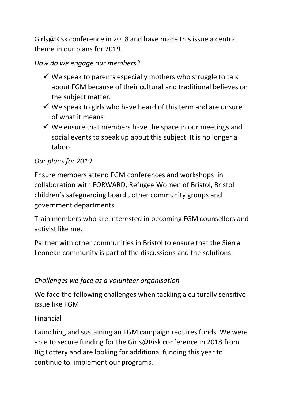Girls@Risk conference in 2018 and have made this issue a central theme in our plans for 2019.

## *How do we engage our members?*

- $\checkmark$  We speak to parents especially mothers who struggle to talk about FGM because of their cultural and traditional believes on the subject matter.
- $\checkmark$  We speak to girls who have heard of this term and are unsure of what it means
- $\checkmark$  We ensure that members have the space in our meetings and social events to speak up about this subject. It is no longer a taboo.

## *Our plans for 2019*

Ensure members attend FGM conferences and workshops in collaboration with FORWARD, Refugee Women of Bristol, Bristol children's safeguarding board , other community groups and government departments.

Train members who are interested in becoming FGM counsellors and activist like me.

Partner with other communities in Bristol to ensure that the Sierra Leonean community is part of the discussions and the solutions.

## *Challenges we face as a volunteer organisation*

We face the following challenges when tackling a culturally sensitive issue like FGM

#### Financial!

Launching and sustaining an FGM campaign requires funds. We were able to secure funding for the Girls@Risk conference in 2018 from Big Lottery and are looking for additional funding this year to continue to implement our programs.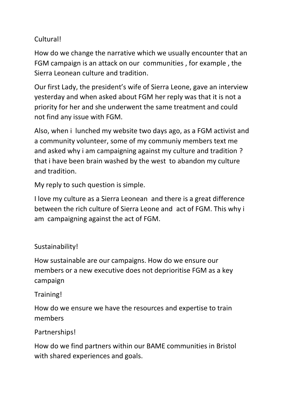## Cultural!

How do we change the narrative which we usually encounter that an FGM campaign is an attack on our communities , for example , the Sierra Leonean culture and tradition.

Our first Lady, the president's wife of Sierra Leone, gave an interview yesterday and when asked about FGM her reply was that it is not a priority for her and she underwent the same treatment and could not find any issue with FGM.

Also, when i lunched my website two days ago, as a FGM activist and a community volunteer, some of my communiy members text me and asked why i am campaigning against my culture and tradition ? that i have been brain washed by the west to abandon my culture and tradition.

My reply to such question is simple.

I love my culture as a Sierra Leonean and there is a great difference between the rich culture of Sierra Leone and act of FGM. This why i am campaigning against the act of FGM.

#### Sustainability!

How sustainable are our campaigns. How do we ensure our members or a new executive does not deprioritise FGM as a key campaign

#### Training!

How do we ensure we have the resources and expertise to train members

#### Partnerships!

How do we find partners within our BAME communities in Bristol with shared experiences and goals.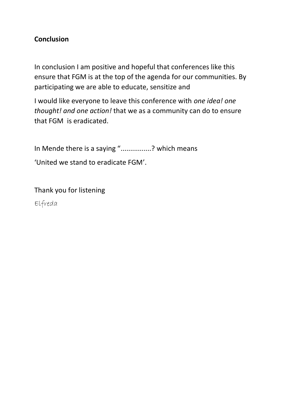#### **Conclusion**

In conclusion I am positive and hopeful that conferences like this ensure that FGM is at the top of the agenda for our communities. By participating we are able to educate, sensitize and

I would like everyone to leave this conference with *one idea! one thought! and one action!* that we as a community can do to ensure that FGM is eradicated.

In Mende there is a saying "................? which means 'United we stand to eradicate FGM'.

Thank you for listening Elfreda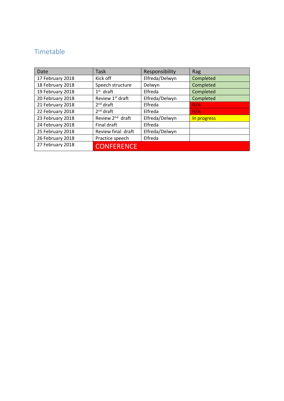## Timetable

| Date             | <b>Task</b>                  | Responsibility | Rag         |
|------------------|------------------------------|----------------|-------------|
| 17 February 2018 | Kick off                     | Elfreda/Delwyn | Completed   |
| 18 February 2018 | Speech structure             | Delwyn         | Completed   |
| 19 February 2018 | $1st$ draft                  | Elfreda        | Completed   |
| 20 February 2018 | Review 1st draft             | Elfreda/Delwyn | Completed   |
| 21 February 2018 | $2nd$ draft                  | Elfreda        | N/A         |
| 22 February 2018 | $2nd$ draft                  | Elfreda        | N/A         |
| 23 February 2018 | Review 2 <sup>nd</sup> draft | Elfreda/Delwyn | In progress |
| 24 February 2018 | Final draft                  | Elfreda        |             |
| 25 February 2018 | Review final draft           | Elfreda/Delwyn |             |
| 26 February 2018 | Practice speech              | Elfreda        |             |
| 27 February 2018 | <b>CONFERENCE</b>            |                |             |